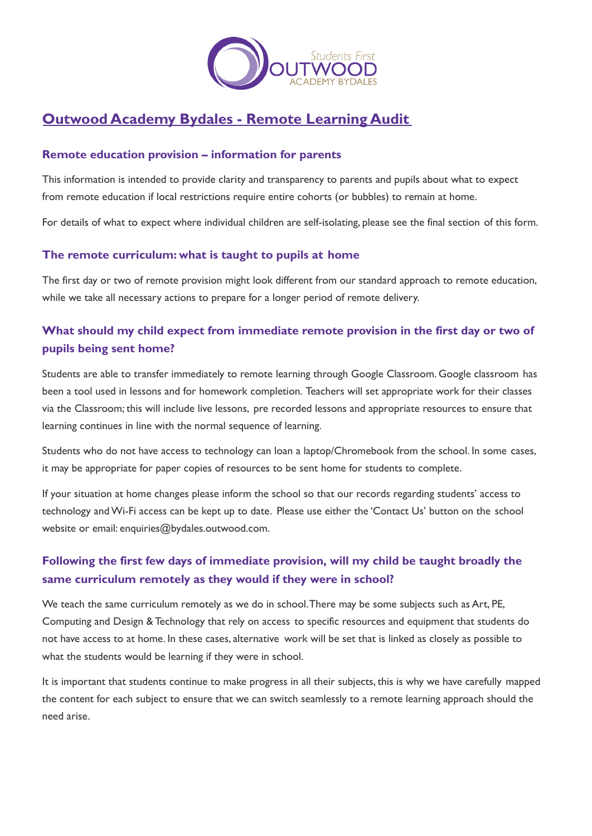

# **Outwood Academy Bydales - Remote Learning Audit**

### **Remote education provision – information for parents**

This information is intended to provide clarity and transparency to parents and pupils about what to expect from remote education if local restrictions require entire cohorts (or bubbles) to remain at home.

For details of what to expect where individual children are self-isolating, please see the final section of this form.

#### **The remote curriculum: what is taught to pupils at home**

The first day or two of remote provision might look different from our standard approach to remote education, while we take all necessary actions to prepare for a longer period of remote delivery.

# **What should my child expect from immediate remote provision in the first day or two of pupils being sent home?**

Students are able to transfer immediately to remote learning through Google Classroom. Google classroom has been a tool used in lessons and for homework completion. Teachers will set appropriate work for their classes via the Classroom; this will include live lessons, pre recorded lessons and appropriate resources to ensure that learning continues in line with the normal sequence of learning.

Students who do not have access to technology can loan a laptop/Chromebook from the school. In some cases, it may be appropriate for paper copies of resources to be sent home for students to complete.

If your situation at home changes please inform the school so that our records regarding students' access to technology andWi-Fi access can be kept up to date. Please use either the 'Contact Us' button on the school website or email: enquiries@bydales.outwood.com.

# **Following the first few days of immediate provision, will my child be taught broadly the same curriculum remotely as they would if they were in school?**

We teach the same curriculum remotely as we do in school.There may be some subjects such as Art, PE, Computing and Design & Technology that rely on access to specific resources and equipment that students do not have access to at home. In these cases, alternative work will be set that is linked as closely as possible to what the students would be learning if they were in school.

It is important that students continue to make progress in all their subjects, this is why we have carefully mapped the content for each subject to ensure that we can switch seamlessly to a remote learning approach should the need arise.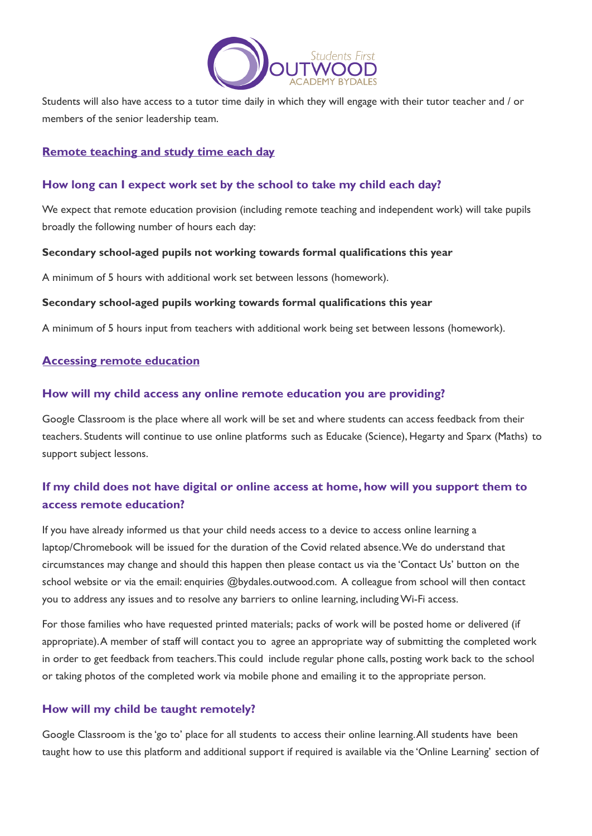

Students will also have access to a tutor time daily in which they will engage with their tutor teacher and / or members of the senior leadership team.

#### **Remote teaching and study time each day**

#### **How long can I expect work set by the school to take my child each day?**

We expect that remote education provision (including remote teaching and independent work) will take pupils broadly the following number of hours each day:

#### **Secondary school-aged pupils not working towards formal qualifications this year**

A minimum of 5 hours with additional work set between lessons (homework).

#### **Secondary school-aged pupils working towards formal qualifications this year**

A minimum of 5 hours input from teachers with additional work being set between lessons (homework).

#### **Accessing remote education**

#### **How will my child access any online remote education you are providing?**

Google Classroom is the place where all work will be set and where students can access feedback from their teachers. Students will continue to use online platforms such as Educake (Science), Hegarty and Sparx (Maths) to support subject lessons.

# **If my child does not have digital or online access at home, how will you support them to access remote education?**

If you have already informed us that your child needs access to a device to access online learning a laptop/Chromebook will be issued for the duration of the Covid related absence.We do understand that circumstances may change and should this happen then please contact us via the 'Contact Us' button on the school website or via the email: enquiries @bydales.outwood.com. A colleague from school will then contact you to address any issues and to resolve any barriers to online learning, includingWi-Fi access.

For those families who have requested printed materials; packs of work will be posted home or delivered (if appropriate).A member of staff will contact you to agree an appropriate way of submitting the completed work in order to get feedback from teachers.This could include regular phone calls, posting work back to the school or taking photos of the completed work via mobile phone and emailing it to the appropriate person.

### **How will my child be taught remotely?**

Google Classroom is the 'go to' place for all students to access their online learning.All students have been taught how to use this platform and additional support if required is available via the 'Online Learning' section of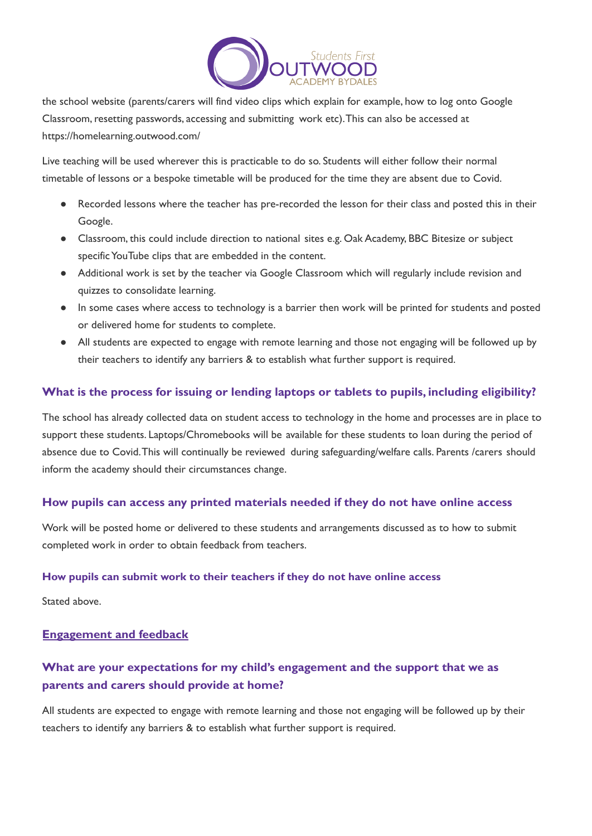

the school website (parents/carers will find video clips which explain for example, how to log onto Google Classroom, resetting passwords, accessing and submitting work etc). This can also be accessed at https://homelearning.outwood.com/

Live teaching will be used wherever this is practicable to do so. Students will either follow their normal timetable of lessons or a bespoke timetable will be produced for the time they are absent due to Covid.

- Recorded lessons where the teacher has pre-recorded the lesson for their class and posted this in their Google.
- Classroom, this could include direction to national sites e.g. Oak Academy, BBC Bitesize or subject specific YouTube clips that are embedded in the content.
- Additional work is set by the teacher via Google Classroom which will regularly include revision and quizzes to consolidate learning.
- In some cases where access to technology is a barrier then work will be printed for students and posted or delivered home for students to complete.
- All students are expected to engage with remote learning and those not engaging will be followed up by their teachers to identify any barriers & to establish what further support is required.

### **What is the process for issuing or lending laptops or tablets to pupils, including eligibility?**

The school has already collected data on student access to technology in the home and processes are in place to support these students. Laptops/Chromebooks will be available for these students to loan during the period of absence due to Covid.This will continually be reviewed during safeguarding/welfare calls. Parents /carers should inform the academy should their circumstances change.

#### **How pupils can access any printed materials needed if they do not have online access**

Work will be posted home or delivered to these students and arrangements discussed as to how to submit completed work in order to obtain feedback from teachers.

#### **How pupils can submit work to their teachers if they do not have online access**

Stated above.

#### **Engagement and feedback**

## **What are your expectations for my child's engagement and the support that we as parents and carers should provide at home?**

All students are expected to engage with remote learning and those not engaging will be followed up by their teachers to identify any barriers & to establish what further support is required.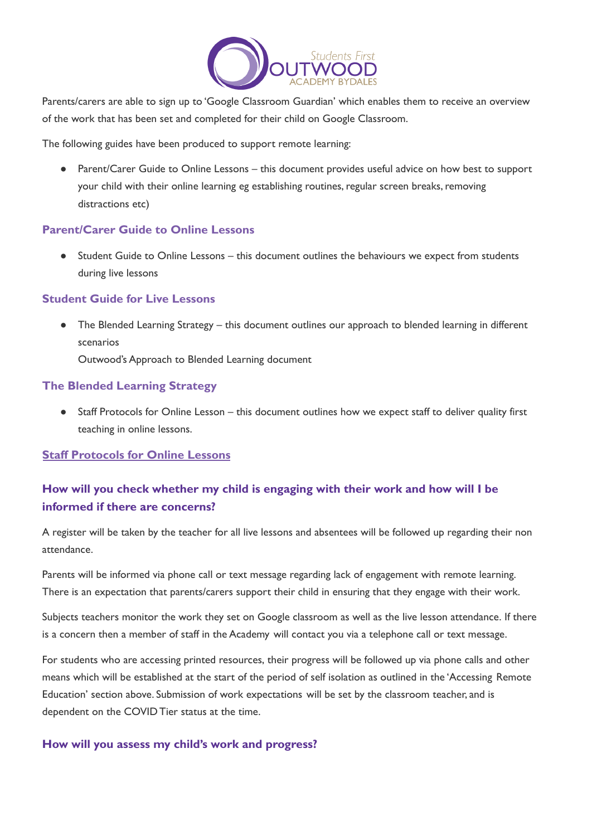

Parents/carers are able to sign up to 'Google Classroom Guardian' which enables them to receive an overview of the work that has been set and completed for their child on Google Classroom.

The following guides have been produced to support remote learning:

● Parent/Carer Guide to Online Lessons – this document provides useful advice on how best to support your child with their online learning eg establishing routines, regular screen breaks, removing distractions etc)

#### **Parent/Carer Guide to Online Lessons**

● Student Guide to Online Lessons – this document outlines the behaviours we expect from students during live lessons

#### **Student Guide for Live Lessons**

• The Blended Learning Strategy – this document outlines our approach to blended learning in different scenarios

Outwood's Approach to Blended Learning document

### **The Blended Learning Strategy**

● Staff Protocols for Online Lesson – this document outlines how we expect staff to deliver quality first teaching in online lessons.

#### **Staff Protocols for Online Lessons**

## **How will you check whether my child is engaging with their work and how will I be informed if there are concerns?**

A register will be taken by the teacher for all live lessons and absentees will be followed up regarding their non attendance.

Parents will be informed via phone call or text message regarding lack of engagement with remote learning. There is an expectation that parents/carers support their child in ensuring that they engage with their work.

Subjects teachers monitor the work they set on Google classroom as well as the live lesson attendance. If there is a concern then a member of staff in the Academy will contact you via a telephone call or text message.

For students who are accessing printed resources, their progress will be followed up via phone calls and other means which will be established at the start of the period of self isolation as outlined in the 'Accessing Remote Education' section above. Submission of work expectations will be set by the classroom teacher, and is dependent on the COVID Tier status at the time.

#### **How will you assess my child's work and progress?**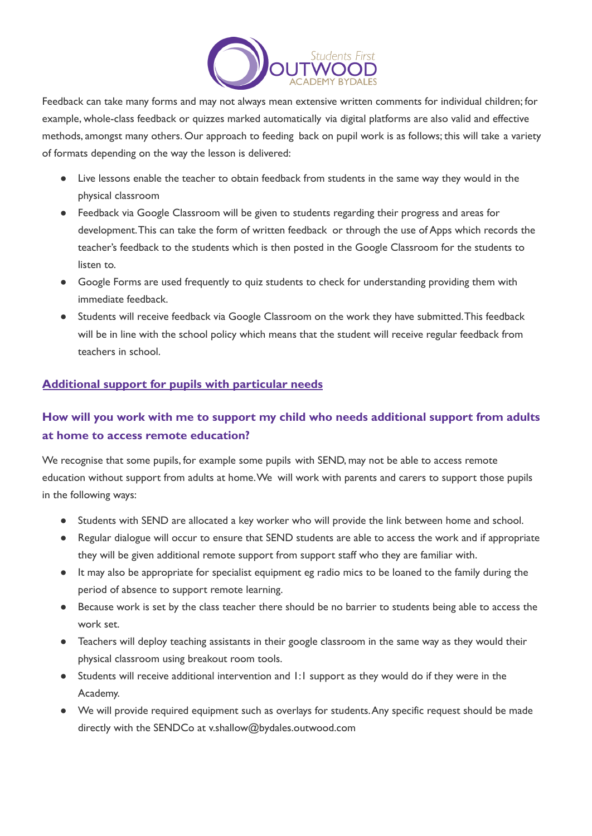

Feedback can take many forms and may not always mean extensive written comments for individual children; for example, whole-class feedback or quizzes marked automatically via digital platforms are also valid and effective methods, amongst many others. Our approach to feeding back on pupil work is as follows; this will take a variety of formats depending on the way the lesson is delivered:

- Live lessons enable the teacher to obtain feedback from students in the same way they would in the physical classroom
- Feedback via Google Classroom will be given to students regarding their progress and areas for development.This can take the form of written feedback or through the use of Apps which records the teacher's feedback to the students which is then posted in the Google Classroom for the students to listen to.
- Google Forms are used frequently to quiz students to check for understanding providing them with immediate feedback.
- Students will receive feedback via Google Classroom on the work they have submitted.This feedback will be in line with the school policy which means that the student will receive regular feedback from teachers in school.

### **Additional support for pupils with particular needs**

# **How will you work with me to support my child who needs additional support from adults at home to access remote education?**

We recognise that some pupils, for example some pupils with SEND, may not be able to access remote education without support from adults at home.We will work with parents and carers to support those pupils in the following ways:

- Students with SEND are allocated a key worker who will provide the link between home and school.
- Regular dialogue will occur to ensure that SEND students are able to access the work and if appropriate they will be given additional remote support from support staff who they are familiar with.
- It may also be appropriate for specialist equipment eg radio mics to be loaned to the family during the period of absence to support remote learning.
- Because work is set by the class teacher there should be no barrier to students being able to access the work set.
- Teachers will deploy teaching assistants in their google classroom in the same way as they would their physical classroom using breakout room tools.
- Students will receive additional intervention and 1:1 support as they would do if they were in the Academy.
- We will provide required equipment such as overlays for students.Any specific request should be made directly with the SENDCo at v.shallow@bydales.outwood.com